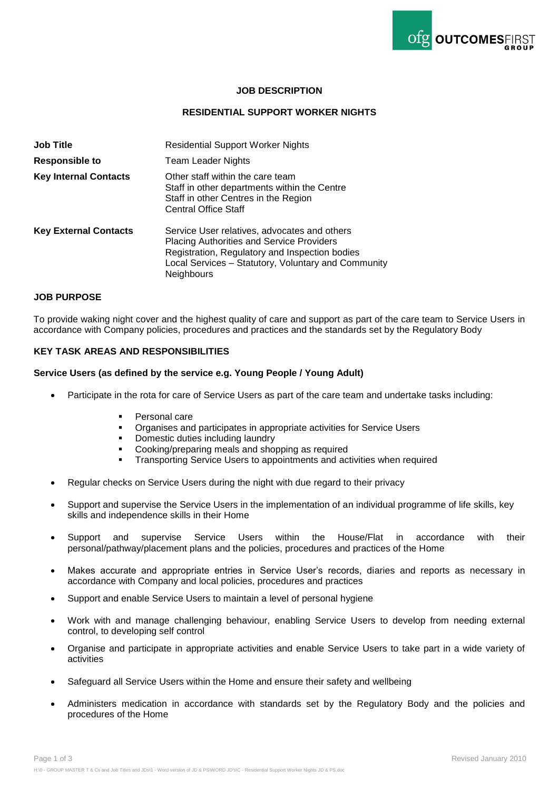

# **JOB DESCRIPTION**

### **RESIDENTIAL SUPPORT WORKER NIGHTS**

| <b>Job Title</b>             | <b>Residential Support Worker Nights</b>                                                                                                                                                                         |  |
|------------------------------|------------------------------------------------------------------------------------------------------------------------------------------------------------------------------------------------------------------|--|
| <b>Responsible to</b>        | Team Leader Nights                                                                                                                                                                                               |  |
| <b>Key Internal Contacts</b> | Other staff within the care team<br>Staff in other departments within the Centre<br>Staff in other Centres in the Region<br><b>Central Office Staff</b>                                                          |  |
| <b>Key External Contacts</b> | Service User relatives, advocates and others<br>Placing Authorities and Service Providers<br>Registration, Regulatory and Inspection bodies<br>Local Services - Statutory, Voluntary and Community<br>Neighbours |  |

# **JOB PURPOSE**

To provide waking night cover and the highest quality of care and support as part of the care team to Service Users in accordance with Company policies, procedures and practices and the standards set by the Regulatory Body

# **KEY TASK AREAS AND RESPONSIBILITIES**

#### **Service Users (as defined by the service e.g. Young People / Young Adult)**

- Participate in the rota for care of Service Users as part of the care team and undertake tasks including:
	- Personal care
	- Organises and participates in appropriate activities for Service Users
	- Domestic duties including laundry
	- **Cooking/preparing meals and shopping as required**
	- **Transporting Service Users to appointments and activities when required**
- Regular checks on Service Users during the night with due regard to their privacy
- Support and supervise the Service Users in the implementation of an individual programme of life skills, key skills and independence skills in their Home
- Support and supervise Service Users within the House/Flat in accordance with their personal/pathway/placement plans and the policies, procedures and practices of the Home
- Makes accurate and appropriate entries in Service User's records, diaries and reports as necessary in accordance with Company and local policies, procedures and practices
- Support and enable Service Users to maintain a level of personal hygiene
- Work with and manage challenging behaviour, enabling Service Users to develop from needing external control, to developing self control
- Organise and participate in appropriate activities and enable Service Users to take part in a wide variety of activities
- Safeguard all Service Users within the Home and ensure their safety and wellbeing
- Administers medication in accordance with standards set by the Regulatory Body and the policies and procedures of the Home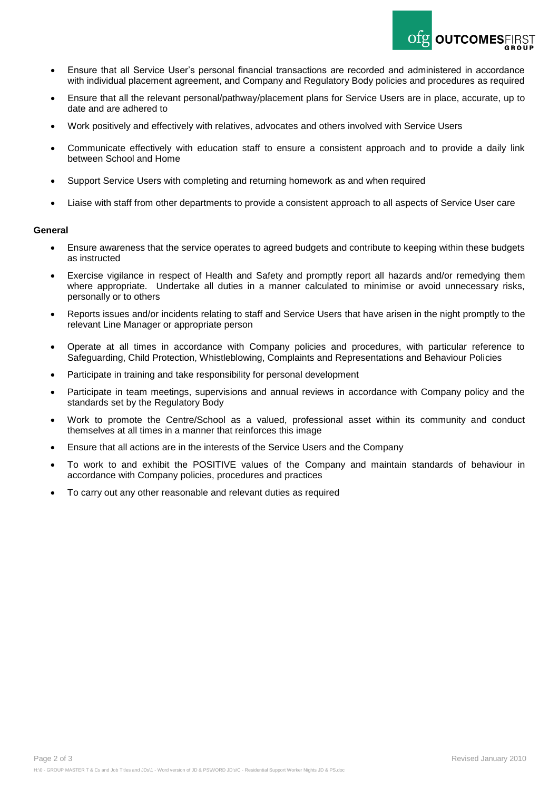- Ensure that all Service User's personal financial transactions are recorded and administered in accordance with individual placement agreement, and Company and Regulatory Body policies and procedures as required
- Ensure that all the relevant personal/pathway/placement plans for Service Users are in place, accurate, up to date and are adhered to
- Work positively and effectively with relatives, advocates and others involved with Service Users
- Communicate effectively with education staff to ensure a consistent approach and to provide a daily link between School and Home
- Support Service Users with completing and returning homework as and when required
- Liaise with staff from other departments to provide a consistent approach to all aspects of Service User care

### **General**

- Ensure awareness that the service operates to agreed budgets and contribute to keeping within these budgets as instructed
- Exercise vigilance in respect of Health and Safety and promptly report all hazards and/or remedying them where appropriate. Undertake all duties in a manner calculated to minimise or avoid unnecessary risks, personally or to others
- Reports issues and/or incidents relating to staff and Service Users that have arisen in the night promptly to the relevant Line Manager or appropriate person
- Operate at all times in accordance with Company policies and procedures, with particular reference to Safeguarding, Child Protection, Whistleblowing, Complaints and Representations and Behaviour Policies
- Participate in training and take responsibility for personal development
- Participate in team meetings, supervisions and annual reviews in accordance with Company policy and the standards set by the Regulatory Body
- Work to promote the Centre/School as a valued, professional asset within its community and conduct themselves at all times in a manner that reinforces this image
- Ensure that all actions are in the interests of the Service Users and the Company
- To work to and exhibit the POSITIVE values of the Company and maintain standards of behaviour in accordance with Company policies, procedures and practices
- To carry out any other reasonable and relevant duties as required